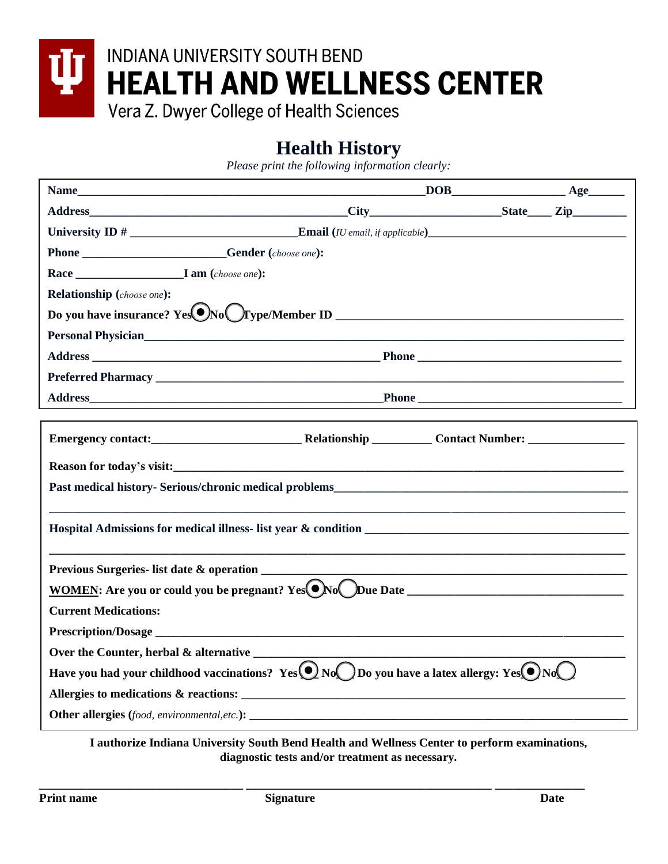

## **Health History**

*Please print the following information clearly:*

| University ID $#$ Email ( <i>IU email, if applicable</i> )                                                                                                                                                                     |  |  |  |  |
|--------------------------------------------------------------------------------------------------------------------------------------------------------------------------------------------------------------------------------|--|--|--|--|
| Phone ______________________Gender (choose one):                                                                                                                                                                               |  |  |  |  |
|                                                                                                                                                                                                                                |  |  |  |  |
| <b>Relationship</b> (choose one):                                                                                                                                                                                              |  |  |  |  |
|                                                                                                                                                                                                                                |  |  |  |  |
| Personal Physician Electric Contract of the Contract of the Contract of the Contract of the Contract of the Contract of the Contract of the Contract of the Contract of the Contract of the Contract of the Contract of the Co |  |  |  |  |
|                                                                                                                                                                                                                                |  |  |  |  |
|                                                                                                                                                                                                                                |  |  |  |  |
| Address Phone Phone Phone Phone Phone Phone Phone Phone Phone Phone Phone Phone Phone Phone Phone Phone Phone Phone Phone Phone Phone Phone Phone Phone Phone Phone Phone Phone Phone Phone Phone Phone Phone Phone Phone Phon |  |  |  |  |
|                                                                                                                                                                                                                                |  |  |  |  |
|                                                                                                                                                                                                                                |  |  |  |  |
|                                                                                                                                                                                                                                |  |  |  |  |
|                                                                                                                                                                                                                                |  |  |  |  |
|                                                                                                                                                                                                                                |  |  |  |  |
|                                                                                                                                                                                                                                |  |  |  |  |
|                                                                                                                                                                                                                                |  |  |  |  |
|                                                                                                                                                                                                                                |  |  |  |  |
| $\underline{\text{WOMEN}}$ : Are you or could you be pregnant? $\text{Yes}(\bigcirc \text{No} \bigcirc \text{Due Date}$                                                                                                        |  |  |  |  |
| <b>Current Medications:</b>                                                                                                                                                                                                    |  |  |  |  |
|                                                                                                                                                                                                                                |  |  |  |  |
| Over the Counter, herbal & alternative _______                                                                                                                                                                                 |  |  |  |  |
| Have you had your childhood vaccinations? Yes $\bigcirc$ No Do you have a latex allergy: Yes $\bigcirc$ No $\bigcirc$                                                                                                          |  |  |  |  |
|                                                                                                                                                                                                                                |  |  |  |  |
| <b>Other allergies</b> (food, environmental, etc.):                                                                                                                                                                            |  |  |  |  |

**I authorize Indiana University South Bend Health and Wellness Center to perform examinations, diagnostic tests and/or treatment as necessary.** 

**\_\_\_\_\_\_\_\_\_\_\_\_\_\_\_\_\_\_\_\_\_\_\_\_\_\_\_\_\_\_\_\_\_\_ \_\_\_\_\_\_\_\_\_\_\_\_\_\_\_\_\_\_\_\_\_\_\_\_\_\_\_\_\_\_\_\_\_\_\_\_\_\_\_\_\_ \_\_\_\_\_\_\_\_\_\_\_\_\_\_\_**